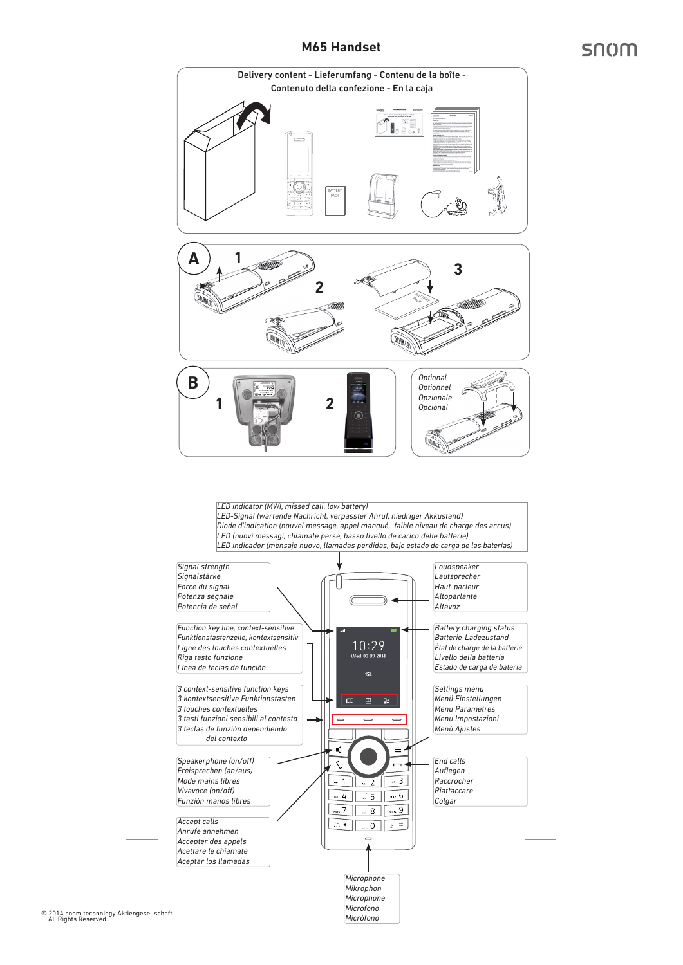# **M65 Handset**

# snom





© 2014 snom technology Aktiengesellschaft All Rights Reserved.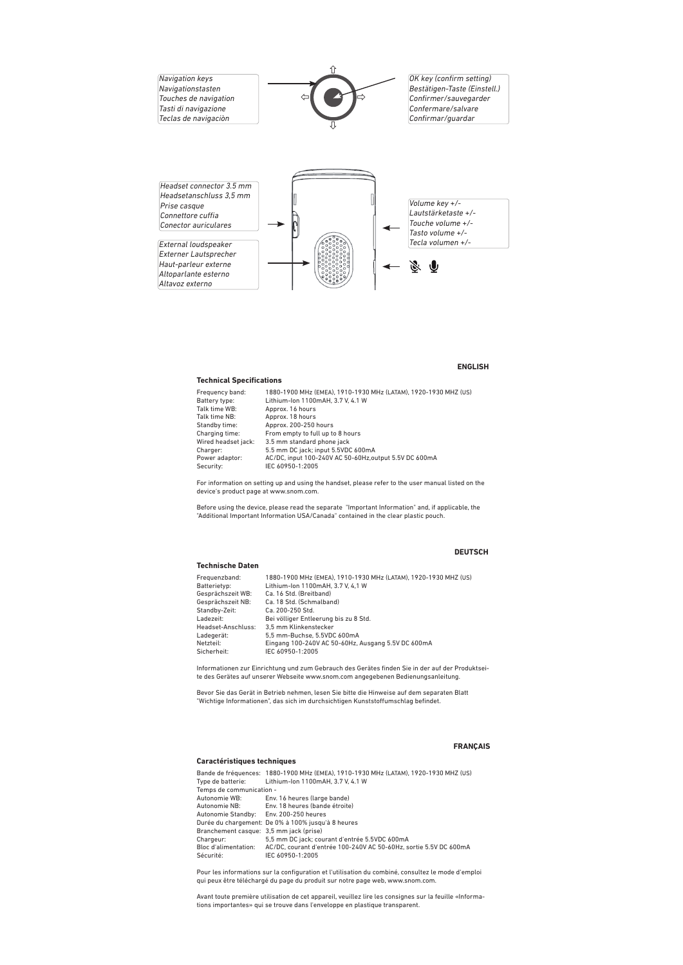

#### **ENGLISH**

#### **Technical Specifications**

| Frequency band:     | 1880-1900 MHz (EMEA), 1910-1930 MHz (LATAM), 1920-1930 MHZ (US) |
|---------------------|-----------------------------------------------------------------|
| Battery type:       | Lithium-Ion 1100mAH, 3.7 V, 4.1 W                               |
| Talk time WB:       | Approx. 16 hours                                                |
| Talk time NB:       | Approx. 18 hours                                                |
| Standby time:       | Approx. 200-250 hours                                           |
| Charging time:      | From empty to full up to 8 hours                                |
| Wired headset jack: | 3.5 mm standard phone jack                                      |
| Charger:            | 5.5 mm DC jack; input 5.5VDC 600mA                              |
| Power adaptor:      | AC/DC, input 100-240V AC 50-60Hz, output 5.5V DC 600mA          |
| Security:           | IEC 60950-1:2005                                                |

For information on setting up and using the handset, please refer to the user manual listed on the device's product page at www.snom.com.

Before using the device, please read the separate "Important Information" and, if applicable, the "Additional Important Information USA/Canada" contained in the clear plastic pouch.

#### **DEUTSCH**

#### **Technische Daten**

| Frequenzband:      | 1880-1900 MHz (EMEA), 1910-1930 MHz (LATAM), 1920-1930 MHZ (US) |
|--------------------|-----------------------------------------------------------------|
| Batterietvp:       | Lithium-Ion 1100mAH, 3.7 V, 4.1 W                               |
| Gesprächszeit WB:  | Ca. 16 Std. (Breitband)                                         |
| Gesprächszeit NB:  | Ca. 18 Std. (Schmalband)                                        |
| Standby-Zeit:      | Ca. 200-250 Std.                                                |
| Ladezeit:          | Bei völliger Entleerung bis zu 8 Std.                           |
| Headset-Anschluss: | 3.5 mm Klinkenstecker                                           |
| Ladegerät:         | 5.5 mm-Buchse, 5.5VDC 600mA                                     |
| Netzteil:          | Eingang 100-240V AC 50-60Hz, Ausgang 5.5V DC 600mA              |
| Sicherheit:        | IEC 60950-1:2005                                                |

Informationen zur Einrichtung und zum Gebrauch des Gerätes finden Sie in der auf der Produktseite des Gerätes auf unserer Webseite www.snom.com angegebenen Bedienungsanleitung.

Bevor Sie das Gerät in Betrieb nehmen, lesen Sie bitte die Hinweise auf dem separaten Blatt "Wichtige Informationen", das sich im durchsichtigen Kunststoffumschlag befindet.

#### **Caractéristiques techniques**

## **FRANÇAIS**

|                                         | Bande de fréquences: 1880-1900 MHz (EMEA), 1910-1930 MHz (LATAM), 1920-1930 MHZ (US) |  |
|-----------------------------------------|--------------------------------------------------------------------------------------|--|
| Type de batterie:                       | Lithium-Ion 1100mAH, 3.7 V, 4.1 W                                                    |  |
| Temps de communication -                |                                                                                      |  |
| Autonomie WB:                           | Env. 16 heures (large bande)                                                         |  |
| Autonomie NB:                           | Env. 18 heures (bande étroite)                                                       |  |
| Autonomie Standby:                      | Env. 200-250 heures                                                                  |  |
|                                         | Durée du chargement: De 0% à 100% jusqu'à 8 heures                                   |  |
| Branchement casque: 3.5 mm jack (prise) |                                                                                      |  |
| Chargeur:                               | 5,5 mm DC jack; courant d'entrée 5.5VDC 600mA                                        |  |
| Bloc d'alimentation:                    | AC/DC, courant d'entrée 100-240V AC 50-60Hz, sortie 5.5V DC 600mA                    |  |
| Sécurité:                               | IEC 60950-1:2005                                                                     |  |

Pour les informations sur la configuration et l'utilisation du combiné, consultez le mode d'emploi qui peux être téléchargé du page du produit sur notre page web, www.snom.com.

Avant toute première utilisation de cet appareil, veuillez lire les consignes sur la feuille «Informations importantes» qui se trouve dans l'enveloppe en plastique transparent.